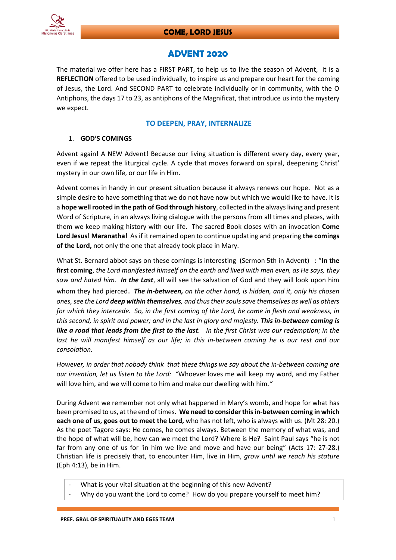

# **ADVENT 2020**

The material we offer here has a FIRST PART, to help us to live the season of Advent, it is a **REFLECTION** offered to be used individually, to inspire us and prepare our heart for the coming of Jesus, the Lord. And SECOND PART to celebrate individually or in community, with the O Antiphons, the days 17 to 23, as antiphons of the Magnificat, that introduce us into the mystery we expect.

# **TO DEEPEN, PRAY, INTERNALIZE**

## 1. **GOD'S COMINGS**

Advent again! A NEW Advent! Because our living situation is different every day, every year, even if we repeat the liturgical cycle. A cycle that moves forward on spiral, deepening Christ' mystery in our own life, or our life in Him.

Advent comes in handy in our present situation because it always renews our hope. Not as a simple desire to have something that we do not have now but which we would like to have. It is a **hope well rooted in the path of God through history**, collected in the always living and present Word of Scripture, in an always living dialogue with the persons from all times and places, with them we keep making history with our life. The sacred Book closes with an invocation **Come Lord Jesus! Maranatha!** As if it remained open to continue updating and preparing **the comings of the Lord,** not only the one that already took place in Mary.

What St. Bernard abbot says on these comings is interesting (Sermon 5th in Advent) : "**In the first coming**, *the Lord manifested himself on the earth and lived with men even, as He says, they saw and hated him*. *In the Last*, all will see the salvation of God and they will look upon him whom they had pierced. *The in-between, on the other hand, is hidden, and it, only his chosen ones, see the Lord deep within themselves, and thus their souls save themselves as well as others for which they intercede. So, in the first coming of the Lord, he came in flesh and weakness, in this second, in spirit and power; and in the last in glory and majesty. This in-between coming is like a road that leads from the first to the last. In the first Christ was our redemption; in the*  last he will manifest himself as our life; in this in-between coming he is our rest and our *consolation.* 

*However, in order that nobody think that these things we say about the in-between coming are our invention, let us listen to the Lord: "*Whoever loves me will keep my word, and my Father will love him, and we will come to him and make our dwelling with him*."*

During Advent we remember not only what happened in Mary's womb, and hope for what has been promised to us, at the end of times. **We need to consider this in-between coming in which each one of us, goes out to meet the Lord,** who has not left, who is always with us. (Mt 28: 20.) As the poet Tagore says: He comes, he comes always. Between the memory of what was, and the hope of what will be, how can we meet the Lord? Where is He? Saint Paul says "he is not far from any one of us for 'in him we live and move and have our being" (Acts 17: 27-28.) Christian life is precisely that, to encounter Him, live in Him, *grow until we reach his stature* (Eph 4:13), be in Him.

- What is your vital situation at the beginning of this new Advent?
- Why do you want the Lord to come? How do you prepare yourself to meet him?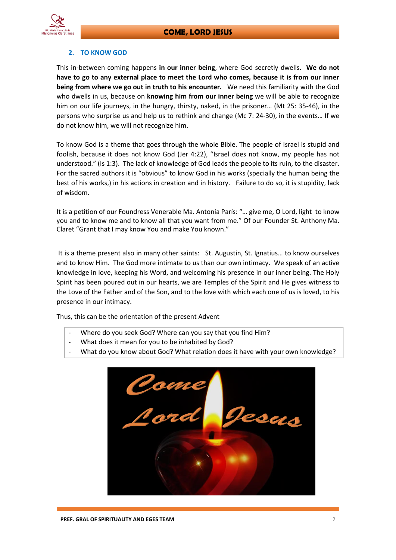

# **2. TO KNOW GOD**

This in-between coming happens **in our inner being**, where God secretly dwells. **We do not have to go to any external place to meet the Lord who comes, because it is from our inner being from where we go out in truth to his encounter.** We need this familiarity with the God who dwells in us, because on **knowing him from our inner being** we will be able to recognize him on our life journeys, in the hungry, thirsty, naked, in the prisoner… (Mt 25: 35-46), in the persons who surprise us and help us to rethink and change (Mc 7: 24-30), in the events… If we do not know him, we will not recognize him.

To know God is a theme that goes through the whole Bible. The people of Israel is stupid and foolish, because it does not know God (Jer 4:22), "Israel does not know, my people has not understood." (Is 1:3). The lack of knowledge of God leads the people to its ruin, to the disaster. For the sacred authors it is "obvious" to know God in his works (specially the human being the best of his works,) in his actions in creation and in history. Failure to do so, it is stupidity, lack of wisdom.

It is a petition of our Foundress Venerable Ma. Antonia París: "… give me, O Lord, light to know you and to know me and to know all that you want from me." Of our Founder St. Anthony Ma. Claret "Grant that I may know You and make You known."

It is a theme present also in many other saints: St. Augustin, St. Ignatius… to know ourselves and to know Him. The God more intimate to us than our own intimacy. We speak of an active knowledge in love, keeping his Word, and welcoming his presence in our inner being. The Holy Spirit has been poured out in our hearts, we are Temples of the Spirit and He gives witness to the Love of the Father and of the Son, and to the love with which each one of us is loved, to his presence in our intimacy.

Thus, this can be the orientation of the present Advent

- Where do you seek God? Where can you say that you find Him?
- What does it mean for you to be inhabited by God?
- What do you know about God? What relation does it have with your own knowledge?

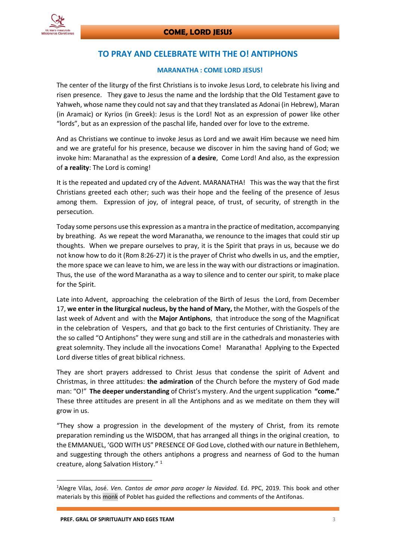

# **TO PRAY AND CELEBRATE WITH THE O! ANTIPHONS**

#### **MARANATHA : COME LORD JESUS!**

The center of the liturgy of the first Christians is to invoke Jesus Lord, to celebrate his living and risen presence. They gave to Jesus the name and the lordship that the Old Testament gave to Yahweh, whose name they could not say and that they translated as Adonai (in Hebrew), Maran (in Aramaic) or Kyrios (in Greek): Jesus is the Lord! Not as an expression of power like other "lords", but as an expression of the paschal life, handed over for love to the extreme.

And as Christians we continue to invoke Jesus as Lord and we await Him because we need him and we are grateful for his presence, because we discover in him the saving hand of God; we invoke him: Maranatha! as the expression of **a desire**, Come Lord! And also, as the expression of **a reality**: The Lord is coming!

It is the repeated and updated cry of the Advent. MARANATHA! This was the way that the first Christians greeted each other; such was their hope and the feeling of the presence of Jesus among them. Expression of joy, of integral peace, of trust, of security, of strength in the persecution.

Today some persons use this expression as a mantra in the practice of meditation, accompanying by breathing. As we repeat the word Maranatha, we renounce to the images that could stir up thoughts. When we prepare ourselves to pray, it is the Spirit that prays in us, because we do not know how to do it (Rom 8:26-27) it is the prayer of Christ who dwells in us, and the emptier, the more space we can leave to him, we are less in the way with our distractions or imagination. Thus, the use of the word Maranatha as a way to silence and to center our spirit, to make place for the Spirit.

Late into Advent, approaching the celebration of the Birth of Jesus the Lord, from December 17, **we enter in the liturgical nucleus, by the hand of Mary,** the Mother, with the Gospels of the last week of Advent and with the **Major Antiphons**, that introduce the song of the Magnificat in the celebration of Vespers, and that go back to the first centuries of Christianity. They are the so called "O Antiphons" they were sung and still are in the cathedrals and monasteries with great solemnity. They include all the invocations Come! Maranatha! Applying to the Expected Lord diverse titles of great biblical richness.

They are short prayers addressed to Christ Jesus that condense the spirit of Advent and Christmas, in three attitudes: **the admiration** of the Church before the mystery of God made man: "O!" **The deeper understanding** of Christ's mystery. And the urgent supplication **"come."** These three attitudes are present in all the Antiphons and as we meditate on them they will grow in us.

"They show a progression in the development of the mystery of Christ, from its remote preparation reminding us the WISDOM, that has arranged all things in the original creation, to the EMMANUEL, 'GOD WITH US" PRESENCE OF God Love, clothed with our nature in Bethlehem, and suggesting through the others antiphons a progress and nearness of God to the human creature, along Salvation History."<sup>1</sup>

<sup>1</sup>Alegre Vilas, José. *Ven. Cantos de amor para acoger la Navidad.* Ed. PPC, 2019. This book and other materials by this monk of Poblet has guided the reflections and comments of the Antifonas.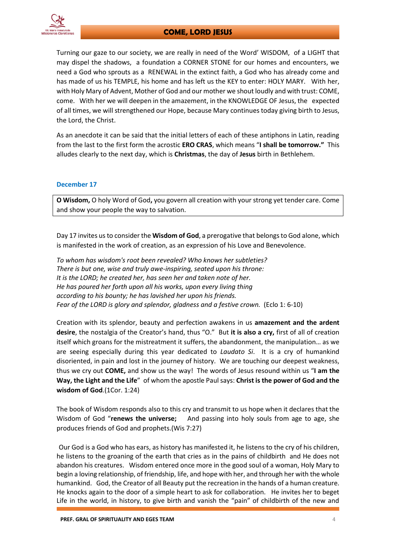# **COME, LORD JESUS**



Turning our gaze to our society, we are really in need of the Word' WISDOM, of a LIGHT that may dispel the shadows, a foundation a CORNER STONE for our homes and encounters, we need a God who sprouts as a RENEWAL in the extinct faith, a God who has already come and has made of us his TEMPLE, his home and has left us the KEY to enter: HOLY MARY. With her, with Holy Mary of Advent, Mother of God and our mother we shout loudly and with trust: COME, come. With her we will deepen in the amazement, in the KNOWLEDGE OF Jesus, the expected of all times, we will strengthened our Hope, because Mary continues today giving birth to Jesus, the Lord, the Christ.

As an anecdote it can be said that the initial letters of each of these antiphons in Latin, reading from the last to the first form the acrostic **ERO CRAS**, which means "**I shall be tomorrow."** This alludes clearly to the next day, which is **Christmas**, the day of **Jesus** birth in Bethlehem.

#### **December 17**

**O Wisdom,** O holy Word of God**,** you govern all creation with your strong yet tender care. Come and show your people the way to salvation.

Day 17 invites us to consider the **Wisdom of God**, a prerogative that belongs to God alone, which is manifested in the work of creation, as an expression of his Love and Benevolence.

*To whom has wisdom's root been revealed? Who knows her subtleties? There is but one, wise and truly awe-inspiring, seated upon his throne: It is the LORD; he created her, has seen her and taken note of her. He has poured her forth upon all his works, upon every living thing according to his bounty; he has lavished her upon his friends. Fear of the LORD is glory and splendor, gladness and a festive crown.* (Eclo 1: 6-10)

Creation with its splendor, beauty and perfection awakens in us **amazement and the ardent desire**, the nostalgia of the Creator's hand, thus "O." But **it is also a cry,** first of all of creation itself which groans for the mistreatment it suffers, the abandonment, the manipulation… as we are seeing especially during this year dedicated to *Laudato Si*. It is a cry of humankind disoriented, in pain and lost in the journey of history. We are touching our deepest weakness, thus we cry out **COME,** and show us the way! The words of Jesus resound within us "**I am the Way, the Light and the Life**" of whom the apostle Paul says: **Christ is the power of God and the wisdom of God**.(1Cor. 1:24)

The book of Wisdom responds also to this cry and transmit to us hope when it declares that the Wisdom of God "**renews the universe;** And passing into holy souls from age to age, she produces friends of God and prophets.(Wis 7:27)

Our God is a God who has ears, as history has manifested it, he listens to the cry of his children, he listens to the groaning of the earth that cries as in the pains of childbirth and He does not abandon his creatures. Wisdom entered once more in the good soul of a woman, Holy Mary to begin a loving relationship, of friendship, life, and hope with her, and through her with the whole humankind. God, the Creator of all Beauty put the recreation in the hands of a human creature. He knocks again to the door of a simple heart to ask for collaboration. He invites her to beget Life in the world, in history, to give birth and vanish the "pain" of childbirth of the new and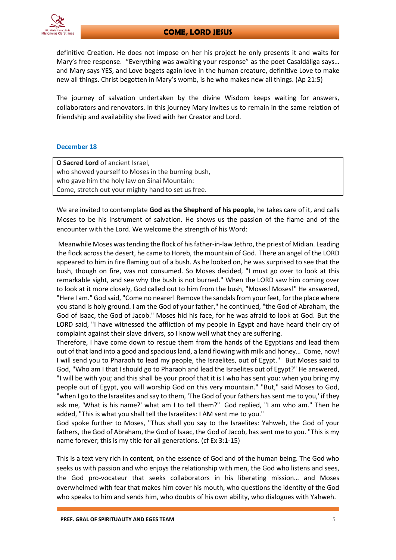

definitive Creation. He does not impose on her his project he only presents it and waits for Mary's free response. "Everything was awaiting your response" as the poet Casaldáliga says… and Mary says YES, and Love begets again love in the human creature, definitive Love to make new all things. Christ begotten in Mary's womb, is he who makes new all things. (Ap 21:5)

The journey of salvation undertaken by the divine Wisdom keeps waiting for answers, collaborators and renovators. In this journey Mary invites us to remain in the same relation of friendship and availability she lived with her Creator and Lord.

# **December 18**

**O Sacred Lord** of ancient Israel, who showed yourself to Moses in the burning bush. who gave him the holy law on Sinai Mountain: Come, stretch out your mighty hand to set us free.

We are invited to contemplate **God as the Shepherd of his people**, he takes care of it, and calls Moses to be his instrument of salvation. He shows us the passion of the flame and of the encounter with the Lord. We welcome the strength of his Word:

Meanwhile Moses was tending the flock of his father-in-law Jethro, the priest of Midian. Leading the flock across the desert, he came to Horeb, the mountain of God. There an angel of the LORD appeared to him in fire flaming out of a bush. As he looked on, he was surprised to see that the bush, though on fire, was not consumed. So Moses decided, "I must go over to look at this remarkable sight, and see why the bush is not burned." When the LORD saw him coming over to look at it more closely, God called out to him from the bush, "Moses! Moses!" He answered, "Here I am." God said, "Come no nearer! Remove the sandals from your feet, for the place where you stand is holy ground. I am the God of your father," he continued, "the God of Abraham, the God of Isaac, the God of Jacob." Moses hid his face, for he was afraid to look at God. But the LORD said, "I have witnessed the affliction of my people in Egypt and have heard their cry of complaint against their slave drivers, so I know well what they are suffering.

Therefore, I have come down to rescue them from the hands of the Egyptians and lead them out of that land into a good and spacious land, a land flowing with milk and honey… Come, now! I will send you to Pharaoh to lead my people, the Israelites, out of Egypt." But Moses said to God, "Who am I that I should go to Pharaoh and lead the Israelites out of Egypt?" He answered, "I will be with you; and this shall be your proof that it is I who has sent you: when you bring my people out of Egypt, you will worship God on this very mountain." "But," said Moses to God, "when I go to the Israelites and say to them, 'The God of your fathers has sent me to you,' if they ask me, 'What is his name?' what am I to tell them?" God replied, "I am who am." Then he added, "This is what you shall tell the Israelites: I AM sent me to you."

God spoke further to Moses, "Thus shall you say to the Israelites: Yahweh, the God of your fathers, the God of Abraham, the God of Isaac, the God of Jacob, has sent me to you. "This is my name forever; this is my title for all generations. (cf Ex 3:1-15)

This is a text very rich in content, on the essence of God and of the human being. The God who seeks us with passion and who enjoys the relationship with men, the God who listens and sees, the God pro-vocateur that seeks collaborators in his liberating mission… and Moses overwhelmed with fear that makes him cover his mouth, who questions the identity of the God who speaks to him and sends him, who doubts of his own ability, who dialogues with Yahweh.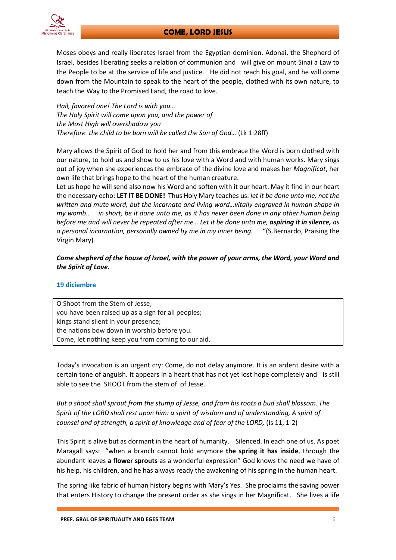

Moses obeys and really liberates Israel from the Egyptian dominion. Adonai, the Shepherd of Israel, besides liberating seeks a relation of communion and will give on mount Sinai a Law to the People to be at the service of life and justice. He did not reach his goal, and he will come down from the Mountain to speak to the heart of the people, clothed with its own nature, to teach the Way to the Promised Land, the road to love.

*Hail, favored one! The Lord is with you… The Holy Spirit will come upon you, and the power of the Most High will overshadow you Therefore the child to be born will be called the Son of God…* (Lk 1:28ff)

Mary allows the Spirit of God to hold her and from this embrace the Word is born clothed with our nature, to hold us and show to us his love with a Word and with human works. Mary sings out of joy when she experiences the embrace of the divine love and makes her *Magnificat*, her own life that brings hope to the heart of the human creature.

Let us hope he will send also now his Word and soften with it our heart. May it find in our heart the necessary echo: **LET IT BE DONE!** Thus Holy Mary teaches us: *let it be done unto me, not the written and mute word, but the incarnate and living word…vitally engraved in human shape in my womb… in short, be it done unto me, as it has never been done in any other human being before me and will never be repeated after me… Let it be done unto me, aspiring it in silence, as a personal incarnation, personally owned by me in my inner being.* "(S.Bernardo, Praising the Virgin Mary)

# *Come shepherd of the house of Israel, with the power of your arms, the Word, your Word and the Spirit of Love.*

## **19 diciembre**

O Shoot from the Stem of Jesse, you have been raised up as a sign for all peoples; kings stand silent in your presence; the nations bow down in worship before you. Come, let nothing keep you from coming to our aid.

Today's invocation is an urgent cry: Come, do not delay anymore. It is an ardent desire with a certain tone of anguish. It appears in a heart that has not yet lost hope completely and is still able to see the SHOOT from the stem of of Jesse.

*But a shoot shall sprout from the stump of Jesse, and from his roots a bud shall blossom. The Spirit of the LORD shall rest upon him: a spirit of wisdom and of understanding, A spirit of counsel and of strength, a spirit of knowledge and of fear of the LORD,* (Is 11, 1-2)

This Spirit is alive but as dormant in the heart of humanity. Silenced. In each one of us. As poet Maragall says: "when a branch cannot hold anymore **the spring it has inside**, through the abundant leaves **a flower sprouts** as a wonderful expression" God knows the need we have of his help, his children, and he has always ready the awakening of his spring in the human heart.

The spring like fabric of human history begins with Mary's Yes. She proclaims the saving power that enters History to change the present order as she sings in her Magnificat. She lives a life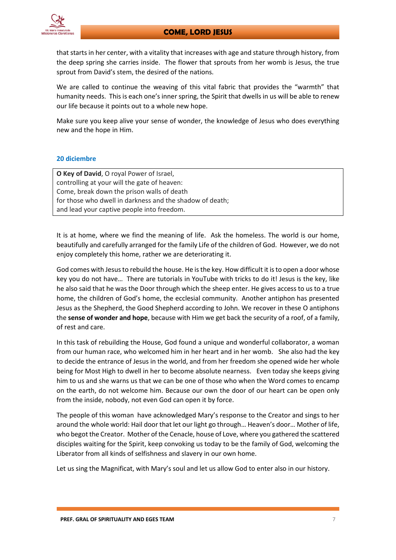

that starts in her center, with a vitality that increases with age and stature through history, from the deep spring she carries inside. The flower that sprouts from her womb is Jesus, the true sprout from David's stem, the desired of the nations.

We are called to continue the weaving of this vital fabric that provides the "warmth" that humanity needs. This is each one's inner spring, the Spirit that dwells in us will be able to renew our life because it points out to a whole new hope.

Make sure you keep alive your sense of wonder, the knowledge of Jesus who does everything new and the hope in Him.

## **20 diciembre**

**O Key of David**, O royal Power of Israel, controlling at your will the gate of heaven: Come, break down the prison walls of death for those who dwell in darkness and the shadow of death; and lead your captive people into freedom.

It is at home, where we find the meaning of life. Ask the homeless. The world is our home, beautifully and carefully arranged for the family Life of the children of God. However, we do not enjoy completely this home, rather we are deteriorating it.

God comes with Jesus to rebuild the house. He is the key. How difficult it is to open a door whose key you do not have… There are tutorials in YouTube with tricks to do it! Jesus is the key, like he also said that he was the Door through which the sheep enter. He gives access to us to a true home, the children of God's home, the ecclesial community. Another antiphon has presented Jesus as the Shepherd, the Good Shepherd according to John. We recover in these O antiphons the **sense of wonder and hope**, because with Him we get back the security of a roof, of a family, of rest and care.

In this task of rebuilding the House, God found a unique and wonderful collaborator, a woman from our human race, who welcomed him in her heart and in her womb. She also had the key to decide the entrance of Jesus in the world, and from her freedom she opened wide her whole being for Most High to dwell in her to become absolute nearness. Even today she keeps giving him to us and she warns us that we can be one of those who when the Word comes to encamp on the earth, do not welcome him. Because our own the door of our heart can be open only from the inside, nobody, not even God can open it by force.

The people of this woman have acknowledged Mary's response to the Creator and sings to her around the whole world: Hail door that let our light go through… Heaven's door… Mother of life, who begot the Creator. Mother of the Cenacle, house of Love, where you gathered the scattered disciples waiting for the Spirit, keep convoking us today to be the family of God, welcoming the Liberator from all kinds of selfishness and slavery in our own home.

Let us sing the Magnificat, with Mary's soul and let us allow God to enter also in our history.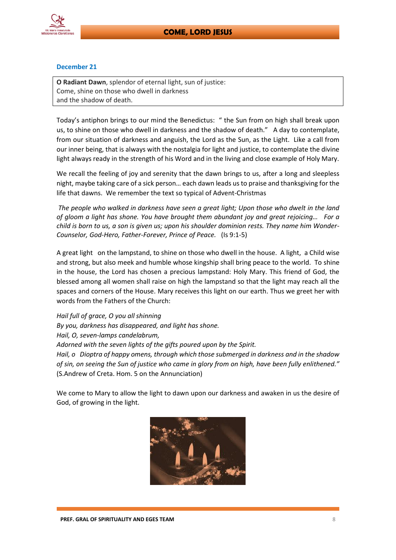

#### **December 21**

**O Radiant Dawn**, splendor of eternal light, sun of justice: Come, shine on those who dwell in darkness and the shadow of death.

Today's antiphon brings to our mind the Benedictus: " the Sun from on high shall break upon us, to shine on those who dwell in darkness and the shadow of death." A day to contemplate, from our situation of darkness and anguish, the Lord as the Sun, as the Light. Like a call from our inner being, that is always with the nostalgia for light and justice, to contemplate the divine light always ready in the strength of his Word and in the living and close example of Holy Mary.

We recall the feeling of joy and serenity that the dawn brings to us, after a long and sleepless night, maybe taking care of a sick person… each dawn leads us to praise and thanksgiving for the life that dawns. We remember the text so typical of Advent-Christmas

*The people who walked in darkness have seen a great light; Upon those who dwelt in the land of gloom a light has shone. You have brought them abundant joy and great rejoicing… For a child is born to us, a son is given us; upon his shoulder dominion rests. They name him Wonder-Counselor, God-Hero, Father-Forever, Prince of Peace.* (Is 9:1-5)

A great light on the lampstand, to shine on those who dwell in the house. A light, a Child wise and strong, but also meek and humble whose kingship shall bring peace to the world. To shine in the house, the Lord has chosen a precious lampstand: Holy Mary. This friend of God, the blessed among all women shall raise on high the lampstand so that the light may reach all the spaces and corners of the House. Mary receives this light on our earth. Thus we greet her with words from the Fathers of the Church:

*Hail full of grace, O you all shinning By you, darkness has disappeared, and light has shone. Hail, O, seven-lamps candelabrum, Adorned with the seven lights of the gifts poured upon by the Spirit. Hail, o Dioptra of happy omens, through which those submerged in darkness and in the shadow of sin, on seeing the Sun of justice who came in glory from on high, have been fully enlithened."*  (S.Andrew of Creta. Hom. 5 on the Annunciation)

We come to Mary to allow the light to dawn upon our darkness and awaken in us the desire of God, of growing in the light.

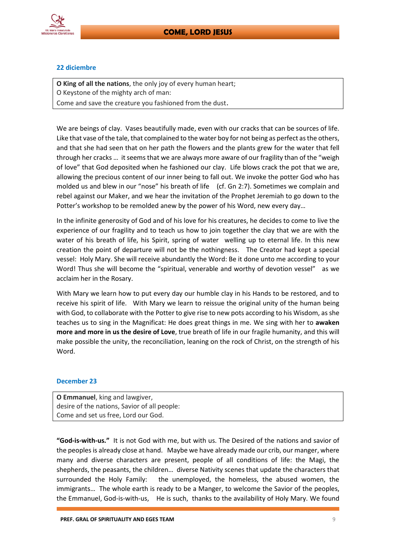

# **22 diciembre**

**O King of all the nations**, the only joy of every human heart; O Keystone of the mighty arch of man: Come and save the creature you fashioned from the dust.

We are beings of clay. Vases beautifully made, even with our cracks that can be sources of life. Like that vase of the tale, that complained to the water boy for not being as perfect as the others, and that she had seen that on her path the flowers and the plants grew for the water that fell through her cracks … it seems that we are always more aware of our fragility than of the "weigh of love" that God deposited when he fashioned our clay. Life blows crack the pot that we are, allowing the precious content of our inner being to fall out. We invoke the potter God who has molded us and blew in our "nose" his breath of life (cf. Gn 2:7). Sometimes we complain and rebel against our Maker, and we hear the invitation of the Prophet Jeremiah to go down to the Potter's workshop to be remolded anew by the power of his Word, new every day…

In the infinite generosity of God and of his love for his creatures, he decides to come to live the experience of our fragility and to teach us how to join together the clay that we are with the water of his breath of life, his Spirit, spring of water welling up to eternal life. In this new creation the point of departure will not be the nothingness. The Creator had kept a special vessel: Holy Mary. She will receive abundantly the Word: Be it done unto me according to your Word! Thus she will become the "spiritual, venerable and worthy of devotion vessel" as we acclaim her in the Rosary.

With Mary we learn how to put every day our humble clay in his Hands to be restored, and to receive his spirit of life. With Mary we learn to reissue the original unity of the human being with God, to collaborate with the Potter to give rise to new pots according to his Wisdom, as she teaches us to sing in the Magnificat: He does great things in me. We sing with her to **awaken more and more in us the desire of Love**, true breath of life in our fragile humanity, and this will make possible the unity, the reconciliation, leaning on the rock of Christ, on the strength of his Word.

## **December 23**

**O Emmanuel**, king and lawgiver, desire of the nations, Savior of all people: Come and set us free, Lord our God.

**"God-is-with-us."** It is not God with me, but with us. The Desired of the nations and savior of the peoples is already close at hand. Maybe we have already made our crib, our manger, where many and diverse characters are present, people of all conditions of life: the Magi, the shepherds, the peasants, the children… diverse Nativity scenes that update the characters that surrounded the Holy Family: the unemployed, the homeless, the abused women, the immigrants… The whole earth is ready to be a Manger, to welcome the Savior of the peoples, the Emmanuel, God-is-with-us, He is such, thanks to the availability of Holy Mary. We found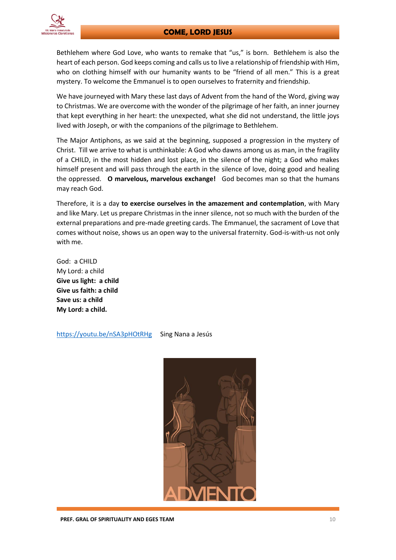

Bethlehem where God Love, who wants to remake that "us," is born. Bethlehem is also the heart of each person. God keeps coming and calls us to live a relationship of friendship with Him, who on clothing himself with our humanity wants to be "friend of all men." This is a great mystery. To welcome the Emmanuel is to open ourselves to fraternity and friendship.

We have journeyed with Mary these last days of Advent from the hand of the Word, giving way to Christmas. We are overcome with the wonder of the pilgrimage of her faith, an inner journey that kept everything in her heart: the unexpected, what she did not understand, the little joys lived with Joseph, or with the companions of the pilgrimage to Bethlehem.

The Major Antiphons, as we said at the beginning, supposed a progression in the mystery of Christ. Till we arrive to what is unthinkable: A God who dawns among us as man, in the fragility of a CHILD, in the most hidden and lost place, in the silence of the night; a God who makes himself present and will pass through the earth in the silence of love, doing good and healing the oppressed. **O marvelous, marvelous exchange!** God becomes man so that the humans may reach God.

Therefore, it is a day **to exercise ourselves in the amazement and contemplation**, with Mary and like Mary. Let us prepare Christmas in the inner silence, not so much with the burden of the external preparations and pre-made greeting cards. The Emmanuel, the sacrament of Love that comes without noise, shows us an open way to the universal fraternity. God-is-with-us not only with me.

God: a CHILD My Lord: a child **Give us light: a child Give us faith: a child Save us: a child My Lord: a child.** 

<https://youtu.be/nSA3pHOtRHg>Sing Nana a Jesús

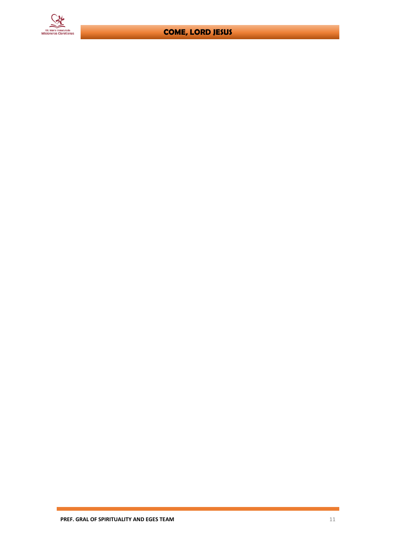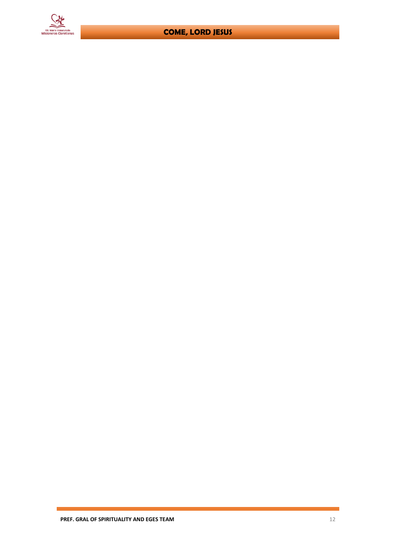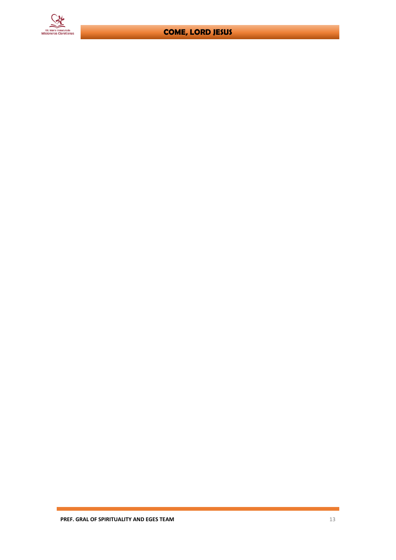